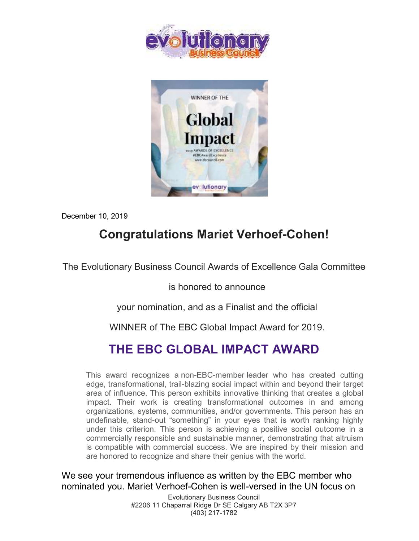



December 10, 2019

## **Congratulations Mariet Verhoef-Cohen!**

The Evolutionary Business Council Awards of Excellence Gala Committee

is honored to announce

your nomination, and as a Finalist and the official

WINNER of The EBC Global Impact Award for 2019.

## **THE EBC GLOBAL IMPACT AWARD**

This award recognizes a non-EBC-member leader who has created cutting edge, transformational, trail-blazing social impact within and beyond their target area of influence. This person exhibits innovative thinking that creates a global impact. Their work is creating transformational outcomes in and among organizations, systems, communities, and/or governments. This person has an undefinable, stand-out "something" in your eyes that is worth ranking highly under this criterion. This person is achieving a positive social outcome in a commercially responsible and sustainable manner, demonstrating that altruism is compatible with commercial success. We are inspired by their mission and are honored to recognize and share their genius with the world.

We see your tremendous influence as written by the EBC member who nominated you. Mariet Verhoef-Cohen is well-versed in the UN focus on

> Evolutionary Business Council #2206 11 Chaparral Ridge Dr SE Calgary AB T2X 3P7 (403) 217-1782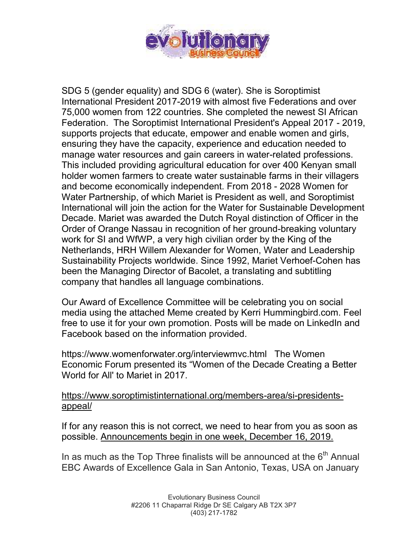

SDG 5 (gender equality) and SDG 6 (water). She is Soroptimist International President 2017-2019 with almost five Federations and over 75,000 women from 122 countries. She completed the newest SI African Federation. The Soroptimist International President's Appeal 2017 - 2019, supports projects that educate, empower and enable women and girls, ensuring they have the capacity, experience and education needed to manage water resources and gain careers in water-related professions. This included providing agricultural education for over 400 Kenyan small holder women farmers to create water sustainable farms in their villagers and become economically independent. From 2018 - 2028 Women for Water Partnership, of which Mariet is President as well, and Soroptimist International will join the action for the Water for Sustainable Development Decade. Mariet was awarded the Dutch Royal distinction of Officer in the Order of Orange Nassau in recognition of her ground-breaking voluntary work for SI and WfWP, a very high civilian order by the King of the Netherlands, HRH Willem Alexander for Women, Water and Leadership Sustainability Projects worldwide. Since 1992, Mariet Verhoef-Cohen has been the Managing Director of Bacolet, a translating and subtitling company that handles all language combinations.

Our Award of Excellence Committee will be celebrating you on social media using the attached Meme created by Kerri Hummingbird.com. Feel free to use it for your own promotion. Posts will be made on LinkedIn and Facebook based on the information provided.

https://www.womenforwater.org/interviewmvc.html The Women Economic Forum presented its "Women of the Decade Creating a Better World for All' to Mariet in 2017.

## [https://www.soroptimistinternational.org/members-area/si-presidents](https://www.soroptimistinternational.org/members-area/si-presidents-appeal/)[appeal/](https://www.soroptimistinternational.org/members-area/si-presidents-appeal/)

If for any reason this is not correct, we need to hear from you as soon as possible. Announcements begin in one week, December 16, 2019.

In as much as the Top Three finalists will be announced at the  $6<sup>th</sup>$  Annual EBC Awards of Excellence Gala in San Antonio, Texas, USA on January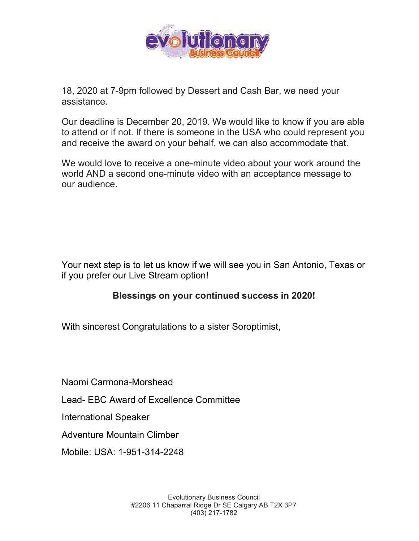

18, 2020 at 7-9pm followed by Dessert and Cash Bar, we need your assistance.

Our deadline is December 20, 2019. We would like to know if you are able to attend or if not. If there is someone in the USA who could represent you and receive the award on your behalf, we can also accommodate that.

We would love to receive a one-minute video about your work around the world AND a second one-minute video with an acceptance message to our audience.

Your next step is to let us know if we will see you in San Antonio, Texas or if you prefer our Live Stream option!

## **Blessings on your continued success in 2020!**

With sincerest Congratulations to a sister Soroptimist,

Naomi Carmona-Morshead

Lead- EBC Award of Excellence Committee

International Speaker

Adventure Mountain Climber

Mobile: USA: 1-951-314-2248